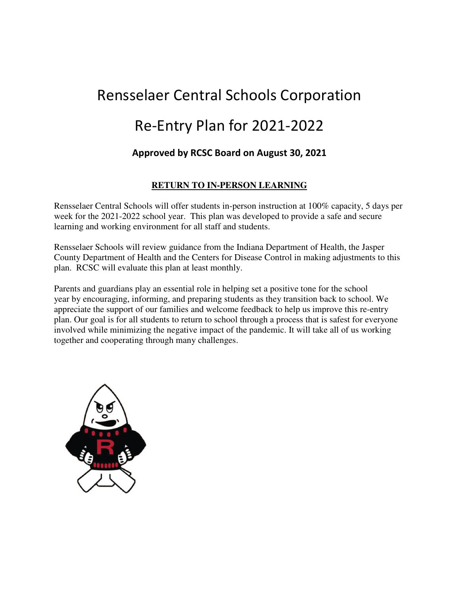# Rensselaer Central Schools Corporation Re-Entry Plan for 2021-2022

## Approved by RCSC Board on August 30, 2021

## **RETURN TO IN-PERSON LEARNING**

Rensselaer Central Schools will offer students in-person instruction at 100% capacity, 5 days per week for the 2021-2022 school year. This plan was developed to provide a safe and secure learning and working environment for all staff and students.

Rensselaer Schools will review guidance from the Indiana Department of Health, the Jasper County Department of Health and the Centers for Disease Control in making adjustments to this plan. RCSC will evaluate this plan at least monthly.

Parents and guardians play an essential role in helping set a positive tone for the school year by encouraging, informing, and preparing students as they transition back to school. We appreciate the support of our families and welcome feedback to help us improve this re-entry plan. Our goal is for all students to return to school through a process that is safest for everyone involved while minimizing the negative impact of the pandemic. It will take all of us working together and cooperating through many challenges.

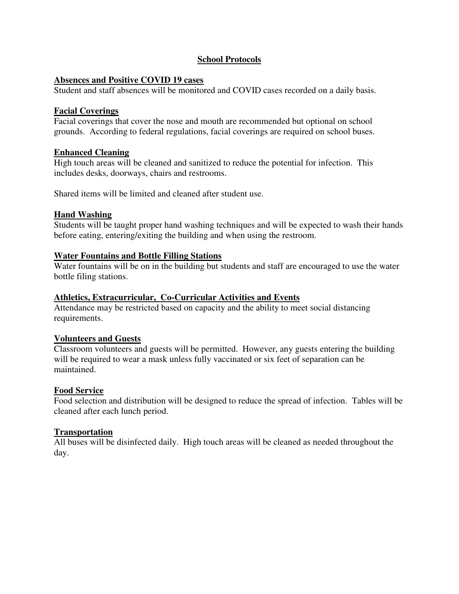## **School Protocols**

## **Absences and Positive COVID 19 cases**

Student and staff absences will be monitored and COVID cases recorded on a daily basis.

#### **Facial Coverings**

Facial coverings that cover the nose and mouth are recommended but optional on school grounds. According to federal regulations, facial coverings are required on school buses.

## **Enhanced Cleaning**

High touch areas will be cleaned and sanitized to reduce the potential for infection. This includes desks, doorways, chairs and restrooms.

Shared items will be limited and cleaned after student use.

## **Hand Washing**

Students will be taught proper hand washing techniques and will be expected to wash their hands before eating, entering/exiting the building and when using the restroom.

## **Water Fountains and Bottle Filling Stations**

Water fountains will be on in the building but students and staff are encouraged to use the water bottle filing stations.

#### **Athletics, Extracurricular, Co-Curricular Activities and Events**

Attendance may be restricted based on capacity and the ability to meet social distancing requirements.

## **Volunteers and Guests**

Classroom volunteers and guests will be permitted. However, any guests entering the building will be required to wear a mask unless fully vaccinated or six feet of separation can be maintained.

## **Food Service**

Food selection and distribution will be designed to reduce the spread of infection. Tables will be cleaned after each lunch period.

## **Transportation**

All buses will be disinfected daily. High touch areas will be cleaned as needed throughout the day.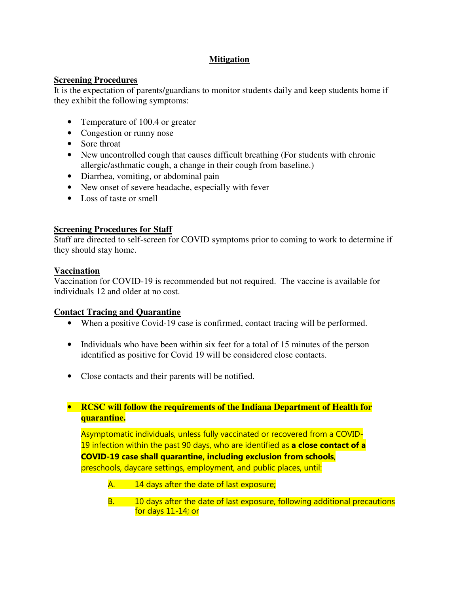## **Mitigation**

## **Screening Procedures**

It is the expectation of parents/guardians to monitor students daily and keep students home if they exhibit the following symptoms:

- Temperature of 100.4 or greater
- Congestion or runny nose
- Sore throat
- New uncontrolled cough that causes difficult breathing (For students with chronic allergic/asthmatic cough, a change in their cough from baseline.)
- Diarrhea, vomiting, or abdominal pain
- New onset of severe headache, especially with fever
- Loss of taste or smell

## **Screening Procedures for Staff**

Staff are directed to self-screen for COVID symptoms prior to coming to work to determine if they should stay home.

## **Vaccination**

Vaccination for COVID-19 is recommended but not required. The vaccine is available for individuals 12 and older at no cost.

## **Contact Tracing and Quarantine**

- When a positive Covid-19 case is confirmed, contact tracing will be performed.
- Individuals who have been within six feet for a total of 15 minutes of the person identified as positive for Covid 19 will be considered close contacts.
- Close contacts and their parents will be notified.

## • **RCSC will follow the requirements of the Indiana Department of Health for quarantine.**

Asymptomatic individuals, unless fully vaccinated or recovered from a COVID-19 infection within the past 90 days, who are identified as a close contact of a COVID-19 case shall quarantine, including exclusion from schools, preschools, daycare settings, employment, and public places, until:

- A. 14 days after the date of last exposure;
- B. 10 days after the date of last exposure, following additional precautions for days 11-14; or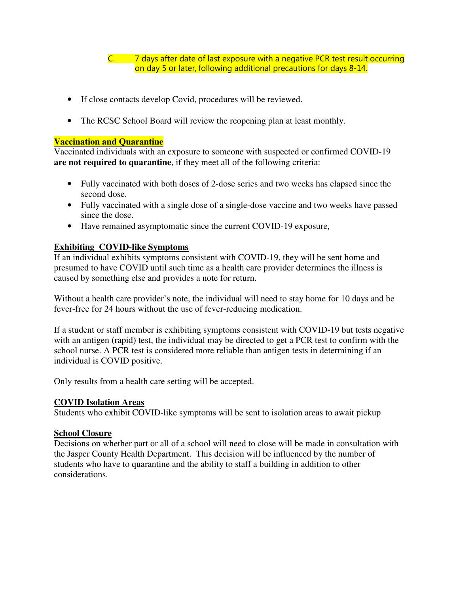C. 7 days after date of last exposure with a negative PCR test result occurring on day 5 or later, following additional precautions for days 8-14.

- If close contacts develop Covid, procedures will be reviewed.
- The RCSC School Board will review the reopening plan at least monthly.

#### **Vaccination and Quarantine**

Vaccinated individuals with an exposure to someone with suspected or confirmed COVID-19 **are not required to quarantine**, if they meet all of the following criteria:

- Fully vaccinated with both doses of 2-dose series and two weeks has elapsed since the second dose.
- Fully vaccinated with a single dose of a single-dose vaccine and two weeks have passed since the dose.
- Have remained asymptomatic since the current COVID-19 exposure,

## **Exhibiting COVID-like Symptoms**

If an individual exhibits symptoms consistent with COVID-19, they will be sent home and presumed to have COVID until such time as a health care provider determines the illness is caused by something else and provides a note for return.

Without a health care provider's note, the individual will need to stay home for 10 days and be fever-free for 24 hours without the use of fever-reducing medication.

If a student or staff member is exhibiting symptoms consistent with COVID-19 but tests negative with an antigen (rapid) test, the individual may be directed to get a PCR test to confirm with the school nurse. A PCR test is considered more reliable than antigen tests in determining if an individual is COVID positive.

Only results from a health care setting will be accepted.

## **COVID Isolation Areas**

Students who exhibit COVID-like symptoms will be sent to isolation areas to await pickup

## **School Closure**

Decisions on whether part or all of a school will need to close will be made in consultation with the Jasper County Health Department. This decision will be influenced by the number of students who have to quarantine and the ability to staff a building in addition to other considerations.